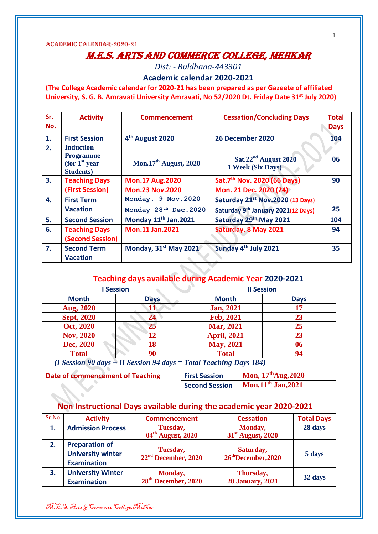# M.E.S. Arts and Commerce College, Mehkar

*Dist: - Buldhana-443301*

**Academic calendar 2020-2021**

**(The College Academic calendar for 2020-21 has been prepared as per Gazeete of affiliated University, S. G. B. Amravati University Amravati, No 52/2020 Dt. Friday Date 31st July 2020)** 

| Sr.<br>No. | <b>Activity</b>                                                               | <b>Commencement</b>               | <b>Cessation/Concluding Days</b>            | <b>Total</b><br><b>Days</b> |
|------------|-------------------------------------------------------------------------------|-----------------------------------|---------------------------------------------|-----------------------------|
| 1.         | <b>First Session</b>                                                          | 4 <sup>th</sup> August 2020       | 26 December 2020                            | 104                         |
| 2.         | <b>Induction</b><br><b>Programme</b><br>(for $1st$ year)<br><b>Students</b> ) | Mon.17 <sup>th</sup> August, 2020 | $Sat.22nd$ August 2020<br>1 Week (Six Days) | 06                          |
| 3.         | <b>Teaching Days</b>                                                          | <b>Mon.17 Aug.2020</b>            | Sat.7 <sup>th</sup> Nov. 2020 (66 Days)     | 90                          |
|            | (First Session)                                                               | <b>Mon.23 Nov.2020</b>            | Mon. 21 Dec. 2020 (24)                      |                             |
| 4.         | <b>First Term</b>                                                             | Monday, 9 Nov. 2020               | Saturday 21st Nov.2020 (13 Days)            |                             |
|            | <b>Vacation</b>                                                               | Monday 28 <sup>th</sup> Dec. 2020 | Saturday 9th January 2021(12 Days)          | 25                          |
| 5.         | <b>Second Session</b>                                                         | Monday 11 <sup>th</sup> Jan.2021  | Saturday 29th May 2021                      | 104                         |
| 6.         | <b>Teaching Days</b><br>(Second Session)                                      | <b>Mon.11 Jan.2021</b>            | Saturday. 8 May 2021                        | 94                          |
| 7.         | <b>Second Term</b><br><b>Vacation</b>                                         | Monday, 31 <sup>st</sup> May 2021 | Sunday 4 <sup>th</sup> July 2021            | 35                          |

#### **Teaching days available during Academic Year 2020-2021**

| <b>Session</b>                        |                                      | <b>Il Session</b>                                                            |             |  |
|---------------------------------------|--------------------------------------|------------------------------------------------------------------------------|-------------|--|
| <b>Month</b>                          | <b>Days</b>                          | <b>Month</b>                                                                 | <b>Days</b> |  |
| <b>Aug, 2020</b>                      | 11                                   | <b>Jan, 2021</b>                                                             | 17          |  |
| <b>Sept, 2020</b>                     | 24                                   | Feb, 2021                                                                    | 23          |  |
| Oct, 2020                             | 25                                   | <b>Mar, 2021</b>                                                             | 25          |  |
| <b>Nov, 2020</b>                      | 12                                   | <b>April, 2021</b>                                                           | 23          |  |
| Dec, 2020                             | 18                                   | <b>May, 2021</b>                                                             | 06          |  |
| <b>Total</b>                          | 90                                   | <b>Total</b>                                                                 | 94          |  |
| $\sim$ $\sim$ $\sim$<br>$\sim$ $\sim$ | $- - \alpha$<br>$\sim$ $\sim$ $\sim$ | <b>PER 1 2 PER</b><br>$\mathbf{r}$ . The state $\mathbf{r}$<br>$\sim$ $\sim$ |             |  |

*(I Session 90 days + II Session 94 days = Total Teaching Days 184)*

| Date of commencement of Teaching | <b>First Session</b> | Mon, $17^{\text{th}}$ Aug, $2020$ |
|----------------------------------|----------------------|-----------------------------------|
|                                  | Second Session       | Mon, $11^{th}$ Jan, $2021$        |

#### **Non Instructional Days available during the academic year 2020-2021**

| Sr.No | <b>Activity</b>                                                         | <b>Commencement</b>                         | <b>Cessation</b>                             | <b>Total Days</b> |
|-------|-------------------------------------------------------------------------|---------------------------------------------|----------------------------------------------|-------------------|
| 1.    | <b>Admission Process</b>                                                | Tuesday,<br>04 <sup>th</sup> August, 2020   | Monday,<br>31 <sup>st</sup> August, 2020     | 28 days           |
| 2.    | <b>Preparation of</b><br><b>University winter</b><br><b>Examination</b> | Tuesday,<br>22 <sup>nd</sup> December, 2020 | Saturday,<br>26 <sup>th</sup> December, 2020 | 5 days            |
| 3.    | <b>University Winter</b><br><b>Examination</b>                          | Monday,<br>28 <sup>th</sup> December, 2020  | Thursday,<br><b>28 January, 2021</b>         | 32 days           |

1

M.E.S. Arts & Commerce College,Mehkar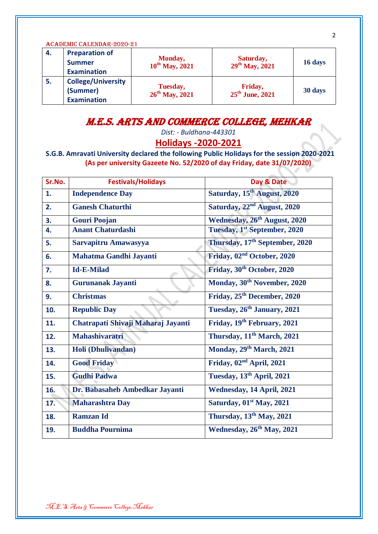| ACADEMIC CALENDAR-2020-21 |                                                              |                                        |                                        |         |
|---------------------------|--------------------------------------------------------------|----------------------------------------|----------------------------------------|---------|
| 4.                        | <b>Preparation of</b><br><b>Summer</b><br><b>Examination</b> | Monday,<br>$10^{th}$ May, 2021         | Saturday,<br>$29^{th}$ May, 2021       | 16 days |
| 5.                        | <b>College/University</b><br>(Summer)<br><b>Examination</b>  | Tuesday,<br>26 <sup>th</sup> May, 2021 | Friday,<br>$25^{\text{th}}$ June, 2021 | 30 days |

### M.E.S. Arts and Commerce College, Mehkar

*Dist: - Buldhana-443301*

#### **Holidays -2020-2021**

**S.G.B. Amravati University declared the following Public Holidays for the session 2020-2021 (As per university Gazeete No. 52/2020 of day Friday, date 31/07/2020)**

| Sr.No. | <b>Festivals/Holidays</b>          | Day & Date                                 |
|--------|------------------------------------|--------------------------------------------|
| 1.     | <b>Independence Day</b>            | Saturday, 15 <sup>th</sup> August, 2020    |
| 2.     | <b>Ganesh Chaturthi</b>            | Saturday, 22 <sup>nd</sup> August, 2020    |
| 3.     | <b>Gouri Poojan</b>                | Wednesday, 26 <sup>th</sup> August, 2020   |
| 4.     | <b>Anant Chaturdashi</b>           | Tuesday, 1st September, 2020               |
| 5.     | Sarvapitru Amawasyya               | Thursday, 17 <sup>th</sup> September, 2020 |
| 6.     | Mahatma Gandhi Jayanti             | Friday, 02 <sup>nd</sup> October, 2020     |
| 7.     | <b>Id-E-Milad</b>                  | Friday, 30 <sup>th</sup> October, 2020     |
| 8.     | <b>Gurunanak Jayanti</b>           | Monday, 30 <sup>th</sup> November, 2020    |
| 9.     | <b>Christmas</b>                   | Friday, 25 <sup>th</sup> December, 2020    |
| 10.    | <b>Republic Day</b>                | Tuesday, 26 <sup>th</sup> January, 2021    |
| 11.    | Chatrapati Shivaji Maharaj Jayanti | Friday, 19th February, 2021                |
| 12.    | <b>Mahashivaratri</b>              | Thursday, 11 <sup>th</sup> March, 2021     |
| 13.    | Holi (Dhulivandan)                 | Monday, 29th March, 2021                   |
| 14.    | <b>Good Friday</b>                 | Friday, 02 <sup>nd</sup> April, 2021       |
| 15.    | <b>Gudhi Padwa</b>                 | Tuesday, 13 <sup>th</sup> April, 2021      |
| 16.    | Dr. Babasaheb Ambedkar Jayanti     | Wednesday, 14 April, 2021                  |
| 17.    | <b>Maharashtra Day</b>             | Saturday, 01 <sup>st</sup> May, 2021       |
| 18.    | <b>Ramzan Id</b>                   | Thursday, 13 <sup>th</sup> May, 2021       |
| 19.    | <b>Buddha Pournima</b>             | Wednesday, 26 <sup>th</sup> May, 2021      |

2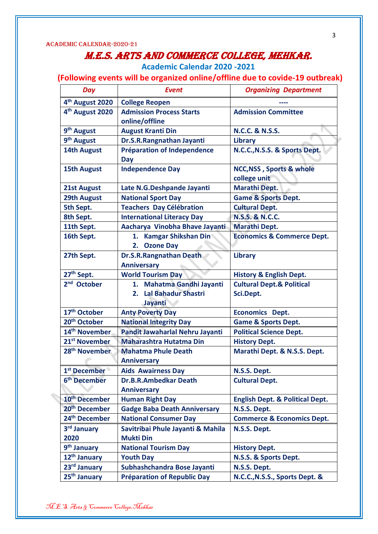## M.E.S. Arts and Commerce College, Mehkar.

**Academic Calendar 2020 -2021**

 **(Following events will be organized online/offline due to covide-19 outbreak)**

| Day                         | <b>Event</b>                                         | <b>Organizing Department</b>                        |
|-----------------------------|------------------------------------------------------|-----------------------------------------------------|
| 4 <sup>th</sup> August 2020 | <b>College Reopen</b>                                |                                                     |
| 4 <sup>th</sup> August 2020 | <b>Admission Process Starts</b><br>online/offline    | <b>Admission Committee</b>                          |
| 9 <sup>th</sup> August      | <b>August Kranti Din</b>                             | <b>N.C.C. &amp; N.S.S.</b>                          |
| 9 <sup>th</sup> August      | Dr.S.R.Rangnathan Jayanti                            | Library                                             |
| <b>14th August</b>          | Préparation of Independence<br>Day                   | N.C.C., N.S.S. & Sports Dept.                       |
| <b>15th August</b>          | <b>Independence Day</b>                              | <b>NCC, NSS, Sports &amp; whole</b><br>college unit |
| <b>21st August</b>          | Late N.G.Deshpande Jayanti                           | <b>Marathi Dept.</b>                                |
| <b>29th August</b>          | <b>National Sport Day</b>                            | <b>Game &amp; Sports Dept.</b>                      |
| 5th Sept.                   | <b>Teachers Day Célébration</b>                      | <b>Cultural Dept.</b>                               |
| 8th Sept.                   | <b>International Literacy Day</b>                    | <b>N.S.S. &amp; N.C.C.</b>                          |
| 11th Sept.                  | Aacharya Vinobha Bhave Jayanti                       | <b>Marathi Dept.</b>                                |
| 16th Sept.                  | 1. Kamgar Shikshan Din<br>2. Ozone Day               | <b>Economics &amp; Commerce Dept.</b>               |
| 27th Sept.                  | <b>Dr.S.R.Rangnathan Death</b><br><b>Anniversary</b> | <b>Library</b>                                      |
| 27 <sup>th</sup> Sept.      | <b>World Tourism Day</b>                             | <b>History &amp; English Dept.</b>                  |
| 2 <sup>nd</sup> October     | 1. Mahatma Gandhi Jayanti<br>2. Lal Bahadur Shastri  | <b>Cultural Dept.&amp; Political</b><br>Sci.Dept.   |
|                             | Jayanti                                              |                                                     |
| 17 <sup>th</sup> October    | <b>Anty Poverty Day</b>                              | <b>Economics Dept.</b>                              |
| 20 <sup>th</sup> October    | <b>National Integrity Day</b>                        | <b>Game &amp; Sports Dept.</b>                      |
| 14 <sup>th</sup> November   | Pandit Jawaharlal Nehru Jayanti                      | <b>Political Science Dept.</b>                      |
| 21 <sup>st</sup> November   | <b>Maharashtra Hutatma Din</b>                       | <b>History Dept.</b>                                |
| 28 <sup>th</sup> November   | <b>Mahatma Phule Death</b><br><b>Anniversary</b>     | Marathi Dept. & N.S.S. Dept.                        |
| 1 <sup>st</sup> December    | <b>Aids Awairness Day</b>                            | N.S.S. Dept.                                        |
| 6 <sup>th</sup> December    | <b>Dr.B.R.Ambedkar Death</b>                         | <b>Cultural Dept.</b>                               |
|                             | <b>Anniversary</b>                                   |                                                     |
| 10 <sup>th</sup> December   | <b>Human Right Day</b>                               | <b>English Dept. &amp; Political Dept.</b>          |
| 20 <sup>th</sup> December   | <b>Gadge Baba Death Anniversary</b>                  | N.S.S. Dept.                                        |
| 24 <sup>th</sup> December   | <b>National Consumer Day</b>                         | <b>Commerce &amp; Economics Dept.</b>               |
| 3rd January                 | Savitribai Phule Jayanti & Mahila                    | N.S.S. Dept.                                        |
| 2020                        | <b>Mukti Din</b>                                     |                                                     |
| 9 <sup>th</sup> January     | <b>National Tourism Day</b>                          | <b>History Dept.</b>                                |
| 12 <sup>th</sup> January    | <b>Youth Day</b>                                     | N.S.S. & Sports Dept.                               |
| 23rd January                | Subhashchandra Bose Jayanti                          | N.S.S. Dept.                                        |
| 25 <sup>th</sup> January    | <b>Préparation of Republic Day</b>                   | N.C.C., N.S.S., Sports Dept. &                      |

3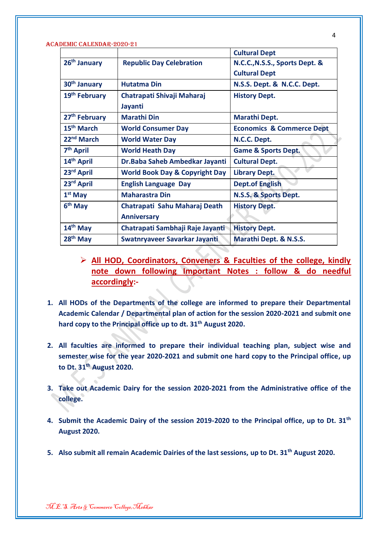|                           |                                           | <b>Cultural Dept</b>                 |
|---------------------------|-------------------------------------------|--------------------------------------|
| 26 <sup>th</sup> January  | <b>Republic Day Celebration</b>           | N.C.C., N.S.S., Sports Dept. &       |
|                           |                                           | <b>Cultural Dept</b>                 |
| 30 <sup>th</sup> January  | <b>Hutatma Din</b>                        | N.S.S. Dept. & N.C.C. Dept.          |
| 19 <sup>th</sup> February | Chatrapati Shivaji Maharaj                | <b>History Dept.</b>                 |
|                           | Jayanti                                   |                                      |
| 27 <sup>th</sup> February | <b>Marathi Din</b>                        | Marathi Dept.                        |
| 15 <sup>th</sup> March    | <b>World Consumer Day</b>                 | <b>Economics &amp; Commerce Dept</b> |
| 22 <sup>nd</sup> March    | <b>World Water Day</b>                    | N.C.C. Dept.                         |
| 7 <sup>th</sup> April     | <b>World Heath Day</b>                    | <b>Game &amp; Sports Dept.</b>       |
| 14 <sup>th</sup> April    | Dr. Baba Saheb Ambedkar Jayanti           | <b>Cultural Dept.</b>                |
| 23rd April                | <b>World Book Day &amp; Copyright Day</b> | <b>Library Dept.</b>                 |
| 23rd April                | <b>English Language Day</b>               | <b>Dept.of English</b>               |
| $1st$ May                 | <b>Maharastra Din</b>                     | N.S.S. & Sports Dept.                |
| $6th$ May                 | Chatrapati Sahu Maharaj Death             | <b>History Dept.</b>                 |
|                           | <b>Anniversary</b>                        |                                      |
| 14th May                  | Chatrapati Sambhaji Raje Jayanti          | <b>History Dept.</b>                 |
| $28th$ May                | Swatnryaveer Savarkar Jayanti             | Marathi Dept. & N.S.S.               |

- **All HOD, Coordinators, Conveners & Faculties of the college, kindly note down following Important Notes : follow & do needful accordingly:-**
- **1. All HODs of the Departments of the college are informed to prepare their Departmental Academic Calendar / Departmental plan of action for the session 2020-2021 and submit one hard copy to the Principal office up to dt. 31th August 2020.**
- **2. All faculties are informed to prepare their individual teaching plan, subject wise and semester wise for the year 2020-2021 and submit one hard copy to the Principal office, up to Dt. 31th August 2020.**
- **3. Take out Academic Dairy for the session 2020-2021 from the Administrative office of the college.**
- **4. Submit the Academic Dairy of the session 2019-2020 to the Principal office, up to Dt. 31th August 2020.**
- **5. Also submit all remain Academic Dairies of the last sessions, up to Dt. 31th August 2020.**